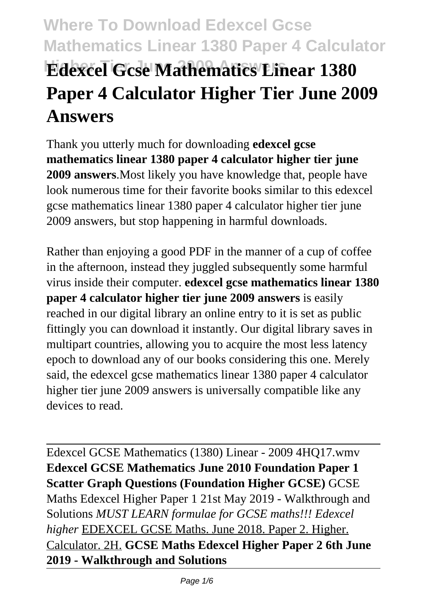# **Where To Download Edexcel Gcse Mathematics Linear 1380 Paper 4 Calculator Edexcel Gcse Mathematics Linear 1380 Paper 4 Calculator Higher Tier June 2009 Answers**

Thank you utterly much for downloading **edexcel gcse mathematics linear 1380 paper 4 calculator higher tier june 2009 answers**.Most likely you have knowledge that, people have look numerous time for their favorite books similar to this edexcel gcse mathematics linear 1380 paper 4 calculator higher tier june 2009 answers, but stop happening in harmful downloads.

Rather than enjoying a good PDF in the manner of a cup of coffee in the afternoon, instead they juggled subsequently some harmful virus inside their computer. **edexcel gcse mathematics linear 1380 paper 4 calculator higher tier june 2009 answers** is easily reached in our digital library an online entry to it is set as public fittingly you can download it instantly. Our digital library saves in multipart countries, allowing you to acquire the most less latency epoch to download any of our books considering this one. Merely said, the edexcel gcse mathematics linear 1380 paper 4 calculator higher tier june 2009 answers is universally compatible like any devices to read.

Edexcel GCSE Mathematics (1380) Linear - 2009 4HQ17.wmv **Edexcel GCSE Mathematics June 2010 Foundation Paper 1 Scatter Graph Questions (Foundation Higher GCSE)** GCSE Maths Edexcel Higher Paper 1 21st May 2019 - Walkthrough and Solutions *MUST LEARN formulae for GCSE maths!!! Edexcel higher* EDEXCEL GCSE Maths. June 2018. Paper 2. Higher. Calculator. 2H. **GCSE Maths Edexcel Higher Paper 2 6th June 2019 - Walkthrough and Solutions**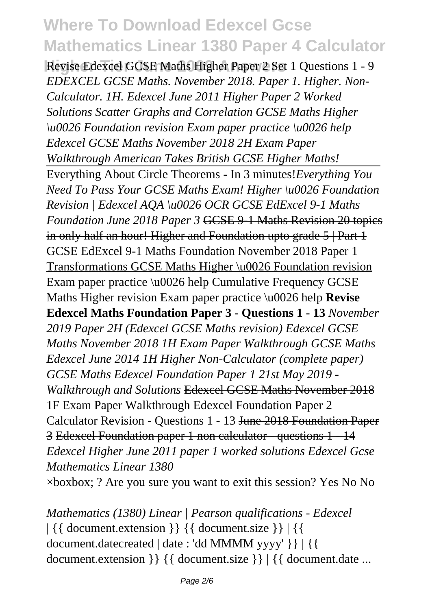# **Where To Download Edexcel Gcse Mathematics Linear 1380 Paper 4 Calculator**

Revise Edexcel GCSE Maths Higher Paper 2 Set 1 Ouestions 1 - 9 *EDEXCEL GCSE Maths. November 2018. Paper 1. Higher. Non-Calculator. 1H. Edexcel June 2011 Higher Paper 2 Worked Solutions Scatter Graphs and Correlation GCSE Maths Higher \u0026 Foundation revision Exam paper practice \u0026 help Edexcel GCSE Maths November 2018 2H Exam Paper Walkthrough American Takes British GCSE Higher Maths!* Everything About Circle Theorems - In 3 minutes!*Everything You Need To Pass Your GCSE Maths Exam! Higher \u0026 Foundation Revision | Edexcel AQA \u0026 OCR GCSE EdExcel 9-1 Maths Foundation June 2018 Paper 3* GCSE 9-1 Maths Revision 20 topics in only half an hour! Higher and Foundation upto grade 5 | Part 1 GCSE EdExcel 9-1 Maths Foundation November 2018 Paper 1 Transformations GCSE Maths Higher \u0026 Foundation revision Exam paper practice \u0026 help Cumulative Frequency GCSE Maths Higher revision Exam paper practice \u0026 help **Revise Edexcel Maths Foundation Paper 3 - Questions 1 - 13** *November 2019 Paper 2H (Edexcel GCSE Maths revision) Edexcel GCSE Maths November 2018 1H Exam Paper Walkthrough GCSE Maths Edexcel June 2014 1H Higher Non-Calculator (complete paper) GCSE Maths Edexcel Foundation Paper 1 21st May 2019 - Walkthrough and Solutions* Edexcel GCSE Maths November 2018 1F Exam Paper Walkthrough Edexcel Foundation Paper 2 Calculator Revision - Questions 1 - 13 June 2018 Foundation Paper 3 Edexcel Foundation paper 1 non calculator - questions 1 - 14 *Edexcel Higher June 2011 paper 1 worked solutions Edexcel Gcse Mathematics Linear 1380* ×boxbox; ? Are you sure you want to exit this session? Yes No No

*Mathematics (1380) Linear | Pearson qualifications - Edexcel* | {{ document.extension }} {{ document.size }} | {{ document.datecreated | date : 'dd MMMM yyyy' }} | {{ document.extension }} {{ document.size }} | {{ document.date ...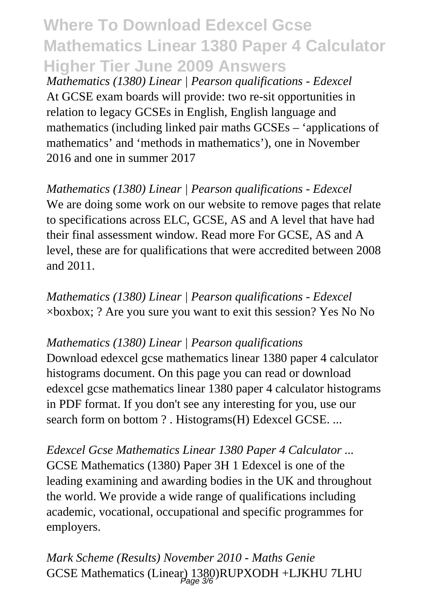# **Where To Download Edexcel Gcse Mathematics Linear 1380 Paper 4 Calculator Higher Tier June 2009 Answers**

*Mathematics (1380) Linear | Pearson qualifications - Edexcel* At GCSE exam boards will provide: two re-sit opportunities in relation to legacy GCSEs in English, English language and mathematics (including linked pair maths GCSEs – 'applications of mathematics' and 'methods in mathematics'), one in November 2016 and one in summer 2017

*Mathematics (1380) Linear | Pearson qualifications - Edexcel* We are doing some work on our website to remove pages that relate to specifications across ELC, GCSE, AS and A level that have had their final assessment window. Read more For GCSE, AS and A level, these are for qualifications that were accredited between 2008 and 2011.

*Mathematics (1380) Linear | Pearson qualifications - Edexcel*  $\times$ boxbox; ? Are you sure you want to exit this session? Yes No No

#### *Mathematics (1380) Linear | Pearson qualifications*

Download edexcel gcse mathematics linear 1380 paper 4 calculator histograms document. On this page you can read or download edexcel gcse mathematics linear 1380 paper 4 calculator histograms in PDF format. If you don't see any interesting for you, use our search form on bottom ? . Histograms(H) Edexcel GCSE. ...

*Edexcel Gcse Mathematics Linear 1380 Paper 4 Calculator ...* GCSE Mathematics (1380) Paper 3H 1 Edexcel is one of the leading examining and awarding bodies in the UK and throughout the world. We provide a wide range of qualifications including academic, vocational, occupational and specific programmes for employers.

*Mark Scheme (Results) November 2010 - Maths Genie* GCSE Mathematics (Linear) 1380)RUPXODH +LJKHU 7LHU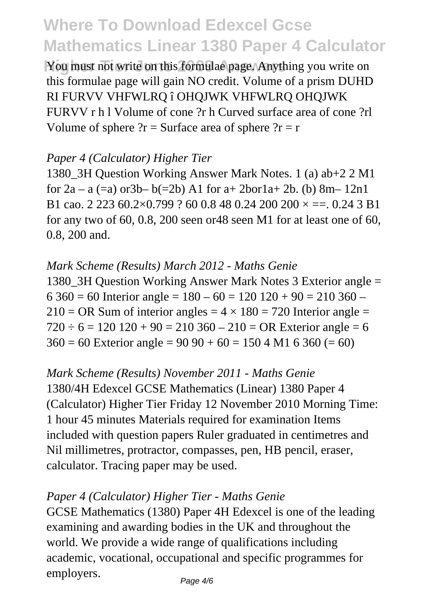# **Where To Download Edexcel Gcse Mathematics Linear 1380 Paper 4 Calculator**

You must not write on this formulae page. Anything you write on this formulae page will gain NO credit. Volume of a prism DUHD RI FURVV VHFWLRQ î OHQJWK VHFWLRQ OHQJWK FURVV r h l Volume of cone ?r h Curved surface area of cone ?rl Volume of sphere  $?r =$  Surface area of sphere  $?r = r$ 

### *Paper 4 (Calculator) Higher Tier*

1380\_3H Question Working Answer Mark Notes. 1 (a) ab+2 2 M1 for  $2a - a (=a)$  or  $3b - b (=2b)$  A1 for  $a + 2b$  or  $1a + 2b$ . (b)  $8m - 12n1$ B1 cao. 2 223 60.2×0.799 ? 60 0.8 48 0.24 200 200  $\times = 0.24$  3 B1 for any two of 60, 0.8, 200 seen or48 seen M1 for at least one of 60, 0.8, 200 and.

### *Mark Scheme (Results) March 2012 - Maths Genie*

1380\_3H Question Working Answer Mark Notes 3 Exterior angle =  $6\,360 = 60$  Interior angle =  $180 - 60 = 120\,120 + 90 = 210\,360$  –  $210 = \text{OR}$  Sum of interior angles =  $4 \times 180 = 720$  Interior angle =  $720 \div 6 = 120$  120 + 90 = 210 360 – 210 = OR Exterior angle = 6  $360 = 60$  Exterior angle = 90 90 + 60 = 150 4 M1 6 360 (= 60)

## *Mark Scheme (Results) November 2011 - Maths Genie*

1380/4H Edexcel GCSE Mathematics (Linear) 1380 Paper 4 (Calculator) Higher Tier Friday 12 November 2010 Morning Time: 1 hour 45 minutes Materials required for examination Items included with question papers Ruler graduated in centimetres and Nil millimetres, protractor, compasses, pen, HB pencil, eraser, calculator. Tracing paper may be used.

#### *Paper 4 (Calculator) Higher Tier - Maths Genie*

GCSE Mathematics (1380) Paper 4H Edexcel is one of the leading examining and awarding bodies in the UK and throughout the world. We provide a wide range of qualifications including academic, vocational, occupational and specific programmes for employers.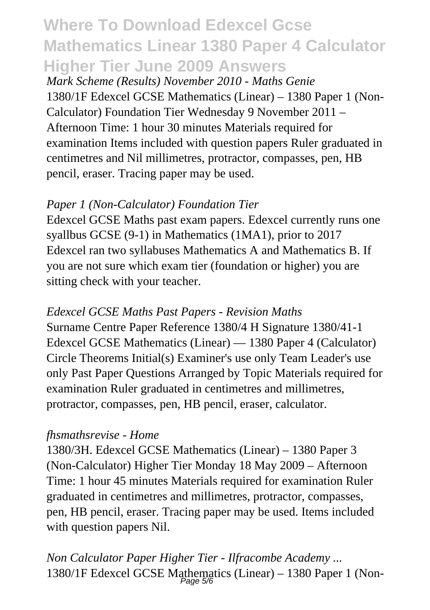# **Where To Download Edexcel Gcse Mathematics Linear 1380 Paper 4 Calculator Higher Tier June 2009 Answers**

*Mark Scheme (Results) November 2010 - Maths Genie* 1380/1F Edexcel GCSE Mathematics (Linear) – 1380 Paper 1 (Non-Calculator) Foundation Tier Wednesday 9 November 2011 – Afternoon Time: 1 hour 30 minutes Materials required for examination Items included with question papers Ruler graduated in centimetres and Nil millimetres, protractor, compasses, pen, HB pencil, eraser. Tracing paper may be used.

## *Paper 1 (Non-Calculator) Foundation Tier*

Edexcel GCSE Maths past exam papers. Edexcel currently runs one syallbus GCSE (9-1) in Mathematics (1MA1), prior to 2017 Edexcel ran two syllabuses Mathematics A and Mathematics B. If you are not sure which exam tier (foundation or higher) you are sitting check with your teacher.

# *Edexcel GCSE Maths Past Papers - Revision Maths*

Surname Centre Paper Reference 1380/4 H Signature 1380/41-1 Edexcel GCSE Mathematics (Linear) — 1380 Paper 4 (Calculator) Circle Theorems Initial(s) Examiner's use only Team Leader's use only Past Paper Questions Arranged by Topic Materials required for examination Ruler graduated in centimetres and millimetres, protractor, compasses, pen, HB pencil, eraser, calculator.

#### *fhsmathsrevise - Home*

1380/3H. Edexcel GCSE Mathematics (Linear) – 1380 Paper 3 (Non-Calculator) Higher Tier Monday 18 May 2009 – Afternoon Time: 1 hour 45 minutes Materials required for examination Ruler graduated in centimetres and millimetres, protractor, compasses, pen, HB pencil, eraser. Tracing paper may be used. Items included with question papers Nil.

*Non Calculator Paper Higher Tier - Ilfracombe Academy ...* 1380/1F Edexcel GCSE Mathematics (Linear) – 1380 Paper 1 (Non-Page 5/6